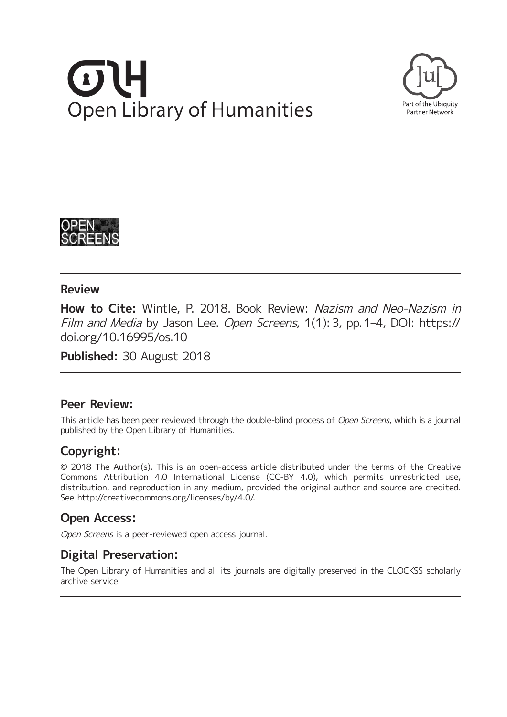# **Open Library of Humanities**





### **Review**

**How to Cite:** Wintle, P. 2018. Book Review: Nazism and Neo-Nazism in Film and Media by Jason Lee. Open Screens, 1(1): 3, pp. 1-4, DOI: [https://](https://doi.org/10.16995/os.10) [doi.org/10.16995/os.10](https://doi.org/10.16995/os.10)

**Published:** 30 August 2018

## **Peer Review:**

This article has been peer reviewed through the double-blind process of Open Screens, which is a journal published by the Open Library of Humanities.

# **Copyright:**

© 2018 The Author(s). This is an open-access article distributed under the terms of the Creative Commons Attribution 4.0 International License (CC-BY 4.0), which permits unrestricted use, distribution, and reproduction in any medium, provided the original author and source are credited. See <http://creativecommons.org/licenses/by/4.0/>.

## **Open Access:**

Open Screens is a peer-reviewed open access journal.

# **Digital Preservation:**

The Open Library of Humanities and all its journals are digitally preserved in the CLOCKSS scholarly archive service.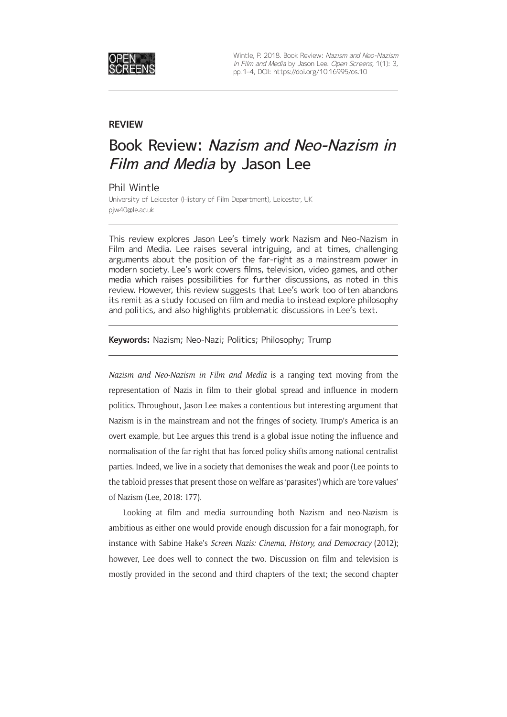

Wintle, P. 2018. Book Review: Nazism and Neo-Nazism in Film and Media by Jason Lee. Open Screens, 1(1): 3, pp. 1–4, DOI: <https://doi.org/10.16995/os.10>

### **REVIEW**

# Book Review: Nazism and Neo-Nazism in Film and Media by Jason Lee

Phil Wintle

University of Leicester (History of Film Department), Leicester, UK [pjw40@le.ac.uk](mailto:pjw40@le.ac.uk)

This review explores Jason Lee's timely work Nazism and Neo-Nazism in Film and Media. Lee raises several intriguing, and at times, challenging arguments about the position of the far-right as a mainstream power in modern society. Lee's work covers films, television, video games, and other media which raises possibilities for further discussions, as noted in this review. However, this review suggests that Lee's work too often abandons its remit as a study focused on film and media to instead explore philosophy and politics, and also highlights problematic discussions in Lee's text.

**Keywords:** Nazism; Neo-Nazi; Politics; Philosophy; Trump

*Nazism and Neo-Nazism in Film and Media* is a ranging text moving from the representation of Nazis in film to their global spread and influence in modern politics. Throughout, Jason Lee makes a contentious but interesting argument that Nazism is in the mainstream and not the fringes of society. Trump's America is an overt example, but Lee argues this trend is a global issue noting the influence and normalisation of the far-right that has forced policy shifts among national centralist parties. Indeed, we live in a society that demonises the weak and poor (Lee points to the tabloid presses that present those on welfare as 'parasites') which are 'core values' of Nazism (Lee, 2018: 177).

Looking at film and media surrounding both Nazism and neo-Nazism is ambitious as either one would provide enough discussion for a fair monograph, for instance with Sabine Hake's *Screen Nazis: Cinema, History, and Democracy* (2012); however, Lee does well to connect the two. Discussion on film and television is mostly provided in the second and third chapters of the text; the second chapter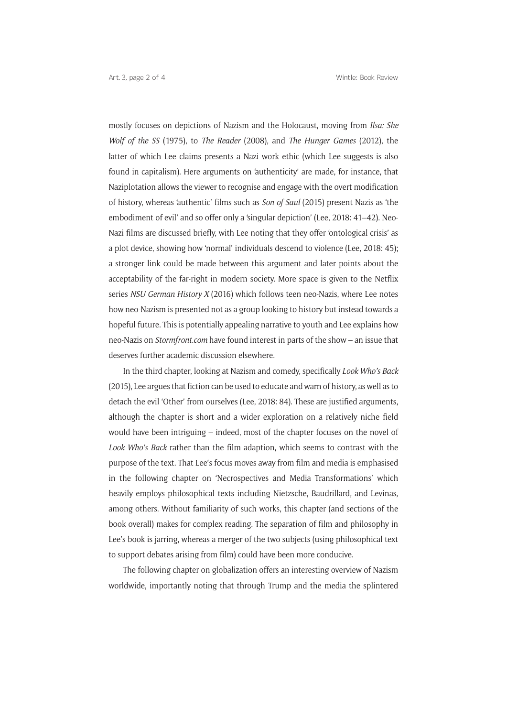mostly focuses on depictions of Nazism and the Holocaust, moving from *Ilsa: She Wolf of the SS* (1975), to *The Reader* (2008), and *The Hunger Games* (2012), the latter of which Lee claims presents a Nazi work ethic (which Lee suggests is also found in capitalism). Here arguments on 'authenticity' are made, for instance, that Naziplotation allows the viewer to recognise and engage with the overt modification of history, whereas 'authentic' films such as *Son of Saul* (2015) present Nazis as 'the embodiment of evil' and so offer only a 'singular depiction' (Lee, 2018: 41–42). Neo-Nazi films are discussed briefly, with Lee noting that they offer 'ontological crisis' as a plot device, showing how 'normal' individuals descend to violence (Lee, 2018: 45); a stronger link could be made between this argument and later points about the acceptability of the far-right in modern society. More space is given to the Netflix series *NSU German History X* (2016) which follows teen neo-Nazis, where Lee notes how neo-Nazism is presented not as a group looking to history but instead towards a hopeful future. This is potentially appealing narrative to youth and Lee explains how neo-Nazis on *[Stormfront.com](http://Stormfront.com)* have found interest in parts of the show – an issue that deserves further academic discussion elsewhere.

In the third chapter, looking at Nazism and comedy, specifically *Look Who's Back*  (2015), Lee argues that fiction can be used to educate and warn of history, as well as to detach the evil 'Other' from ourselves (Lee, 2018: 84). These are justified arguments, although the chapter is short and a wider exploration on a relatively niche field would have been intriguing – indeed, most of the chapter focuses on the novel of *Look Who's Back* rather than the film adaption, which seems to contrast with the purpose of the text. That Lee's focus moves away from film and media is emphasised in the following chapter on 'Necrospectives and Media Transformations' which heavily employs philosophical texts including Nietzsche, Baudrillard, and Levinas, among others. Without familiarity of such works, this chapter (and sections of the book overall) makes for complex reading. The separation of film and philosophy in Lee's book is jarring, whereas a merger of the two subjects (using philosophical text to support debates arising from film) could have been more conducive.

The following chapter on globalization offers an interesting overview of Nazism worldwide, importantly noting that through Trump and the media the splintered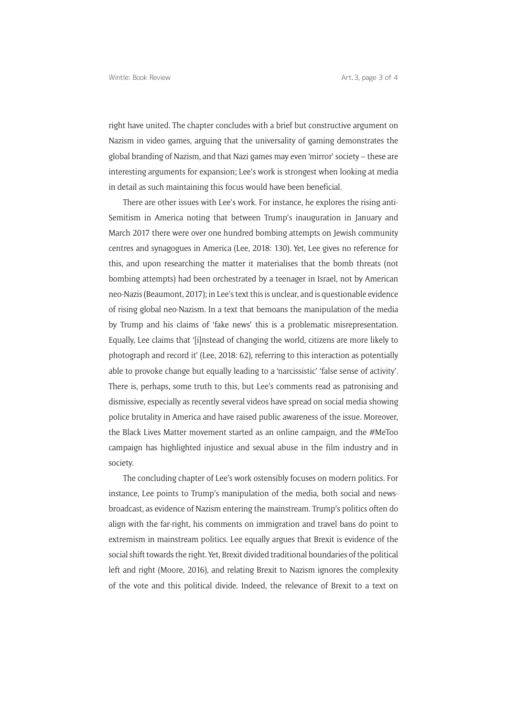right have united. The chapter concludes with a brief but constructive argument on Nazism in video games, arguing that the universality of gaming demonstrates the global branding of Nazism, and that Nazi games may even 'mirror' society – these are interesting arguments for expansion; Lee's work is strongest when looking at media in detail as such maintaining this focus would have been beneficial.

There are other issues with Lee's work. For instance, he explores the rising anti-Semitism in America noting that between Trump's inauguration in January and March 2017 there were over one hundred bombing attempts on Jewish community centres and synagogues in America (Lee, 2018: 130). Yet, Lee gives no reference for this, and upon researching the matter it materialises that the bomb threats (not bombing attempts) had been orchestrated by a teenager in Israel, not by American neo-Nazis (Beaumont, 2017); in Lee's text this is unclear, and is questionable evidence of rising global neo-Nazism. In a text that bemoans the manipulation of the media by Trump and his claims of 'fake news' this is a problematic misrepresentation. Equally, Lee claims that '[i]nstead of changing the world, citizens are more likely to photograph and record it' (Lee, 2018: 62), referring to this interaction as potentially able to provoke change but equally leading to a 'narcissistic' 'false sense of activity'. There is, perhaps, some truth to this, but Lee's comments read as patronising and dismissive, especially as recently several videos have spread on social media showing police brutality in America and have raised public awareness of the issue. Moreover, the Black Lives Matter movement started as an online campaign, and the #MeToo campaign has highlighted injustice and sexual abuse in the film industry and in society.

The concluding chapter of Lee's work ostensibly focuses on modern politics. For instance, Lee points to Trump's manipulation of the media, both social and newsbroadcast, as evidence of Nazism entering the mainstream. Trump's politics often do align with the far-right, his comments on immigration and travel bans do point to extremism in mainstream politics. Lee equally argues that Brexit is evidence of the social shift towards the right. Yet, Brexit divided traditional boundaries of the political left and right (Moore, 2016), and relating Brexit to Nazism ignores the complexity of the vote and this political divide. Indeed, the relevance of Brexit to a text on